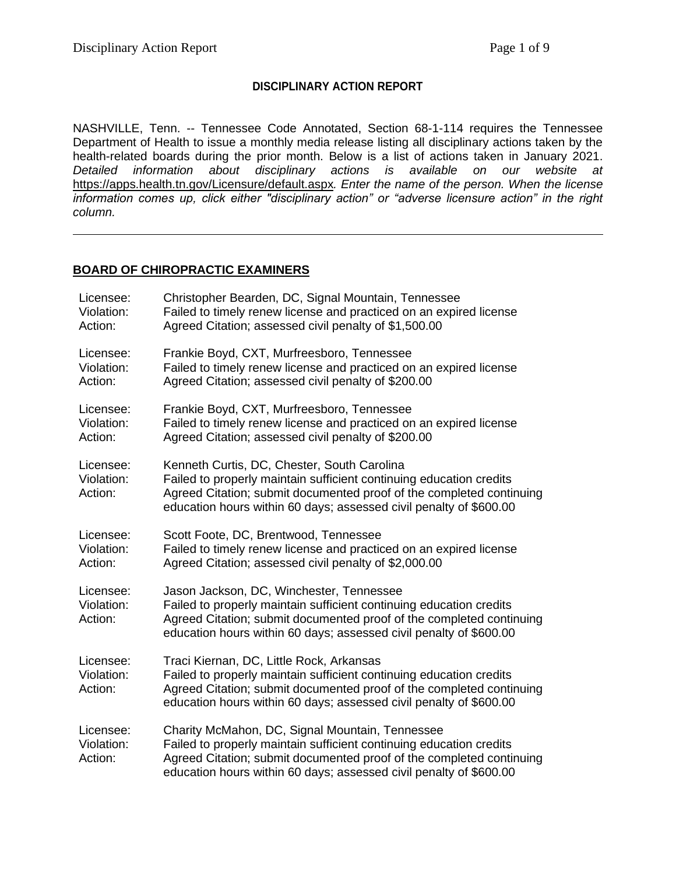## **DISCIPLINARY ACTION REPORT**

NASHVILLE, Tenn. -- Tennessee Code Annotated, Section 68-1-114 requires the Tennessee Department of Health to issue a monthly media release listing all disciplinary actions taken by the health-related boards during the prior month. Below is a list of actions taken in January 2021. *Detailed information about disciplinary actions is available on our website at*  <https://apps.health.tn.gov/Licensure/default.aspx>*. Enter the name of the person. When the license information comes up, click either "disciplinary action" or "adverse licensure action" in the right column.*

### **BOARD OF CHIROPRACTIC EXAMINERS**

| Licensee:                          | Christopher Bearden, DC, Signal Mountain, Tennessee                                                                                                                                                                                                                  |
|------------------------------------|----------------------------------------------------------------------------------------------------------------------------------------------------------------------------------------------------------------------------------------------------------------------|
| Violation:                         | Failed to timely renew license and practiced on an expired license                                                                                                                                                                                                   |
| Action:                            | Agreed Citation; assessed civil penalty of \$1,500.00                                                                                                                                                                                                                |
| Licensee:                          | Frankie Boyd, CXT, Murfreesboro, Tennessee                                                                                                                                                                                                                           |
| Violation:                         | Failed to timely renew license and practiced on an expired license                                                                                                                                                                                                   |
| Action:                            | Agreed Citation; assessed civil penalty of \$200.00                                                                                                                                                                                                                  |
| Licensee:                          | Frankie Boyd, CXT, Murfreesboro, Tennessee                                                                                                                                                                                                                           |
| Violation:                         | Failed to timely renew license and practiced on an expired license                                                                                                                                                                                                   |
| Action:                            | Agreed Citation; assessed civil penalty of \$200.00                                                                                                                                                                                                                  |
| Licensee:<br>Violation:<br>Action: | Kenneth Curtis, DC, Chester, South Carolina<br>Failed to properly maintain sufficient continuing education credits<br>Agreed Citation; submit documented proof of the completed continuing<br>education hours within 60 days; assessed civil penalty of \$600.00     |
| Licensee:                          | Scott Foote, DC, Brentwood, Tennessee                                                                                                                                                                                                                                |
| Violation:                         | Failed to timely renew license and practiced on an expired license                                                                                                                                                                                                   |
| Action:                            | Agreed Citation; assessed civil penalty of \$2,000.00                                                                                                                                                                                                                |
| Licensee:<br>Violation:<br>Action: | Jason Jackson, DC, Winchester, Tennessee<br>Failed to properly maintain sufficient continuing education credits<br>Agreed Citation; submit documented proof of the completed continuing<br>education hours within 60 days; assessed civil penalty of \$600.00        |
| Licensee:<br>Violation:<br>Action: | Traci Kiernan, DC, Little Rock, Arkansas<br>Failed to properly maintain sufficient continuing education credits<br>Agreed Citation; submit documented proof of the completed continuing<br>education hours within 60 days; assessed civil penalty of \$600.00        |
| Licensee:<br>Violation:<br>Action: | Charity McMahon, DC, Signal Mountain, Tennessee<br>Failed to properly maintain sufficient continuing education credits<br>Agreed Citation; submit documented proof of the completed continuing<br>education hours within 60 days; assessed civil penalty of \$600.00 |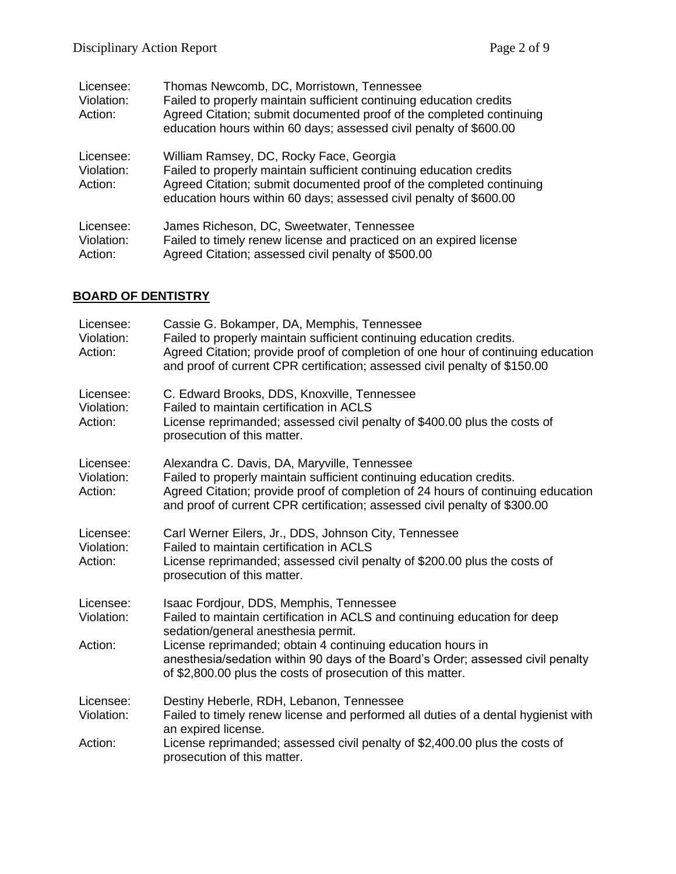| Licensee:<br>Violation:<br>Action: | Thomas Newcomb, DC, Morristown, Tennessee<br>Failed to properly maintain sufficient continuing education credits<br>Agreed Citation; submit documented proof of the completed continuing<br>education hours within 60 days; assessed civil penalty of \$600.00 |
|------------------------------------|----------------------------------------------------------------------------------------------------------------------------------------------------------------------------------------------------------------------------------------------------------------|
| Licensee:<br>Violation:<br>Action: | William Ramsey, DC, Rocky Face, Georgia<br>Failed to properly maintain sufficient continuing education credits<br>Agreed Citation; submit documented proof of the completed continuing<br>education hours within 60 days; assessed civil penalty of \$600.00   |
| Licensee:<br>Violation:<br>Action: | James Richeson, DC, Sweetwater, Tennessee<br>Failed to timely renew license and practiced on an expired license<br>Agreed Citation; assessed civil penalty of \$500.00                                                                                         |

# **BOARD OF DENTISTRY**

| Licensee:<br>Violation:<br>Action: | Cassie G. Bokamper, DA, Memphis, Tennessee<br>Failed to properly maintain sufficient continuing education credits.<br>Agreed Citation; provide proof of completion of one hour of continuing education<br>and proof of current CPR certification; assessed civil penalty of \$150.00                                                                                          |
|------------------------------------|-------------------------------------------------------------------------------------------------------------------------------------------------------------------------------------------------------------------------------------------------------------------------------------------------------------------------------------------------------------------------------|
| Licensee:<br>Violation:<br>Action: | C. Edward Brooks, DDS, Knoxville, Tennessee<br>Failed to maintain certification in ACLS<br>License reprimanded; assessed civil penalty of \$400.00 plus the costs of<br>prosecution of this matter.                                                                                                                                                                           |
| Licensee:<br>Violation:<br>Action: | Alexandra C. Davis, DA, Maryville, Tennessee<br>Failed to properly maintain sufficient continuing education credits.<br>Agreed Citation; provide proof of completion of 24 hours of continuing education<br>and proof of current CPR certification; assessed civil penalty of \$300.00                                                                                        |
| Licensee:<br>Violation:<br>Action: | Carl Werner Eilers, Jr., DDS, Johnson City, Tennessee<br>Failed to maintain certification in ACLS<br>License reprimanded; assessed civil penalty of \$200.00 plus the costs of<br>prosecution of this matter.                                                                                                                                                                 |
| Licensee:<br>Violation:<br>Action: | Isaac Fordjour, DDS, Memphis, Tennessee<br>Failed to maintain certification in ACLS and continuing education for deep<br>sedation/general anesthesia permit.<br>License reprimanded; obtain 4 continuing education hours in<br>anesthesia/sedation within 90 days of the Board's Order; assessed civil penalty<br>of \$2,800.00 plus the costs of prosecution of this matter. |
| Licensee:<br>Violation:<br>Action: | Destiny Heberle, RDH, Lebanon, Tennessee<br>Failed to timely renew license and performed all duties of a dental hygienist with<br>an expired license.<br>License reprimanded; assessed civil penalty of \$2,400.00 plus the costs of                                                                                                                                          |
|                                    | prosecution of this matter.                                                                                                                                                                                                                                                                                                                                                   |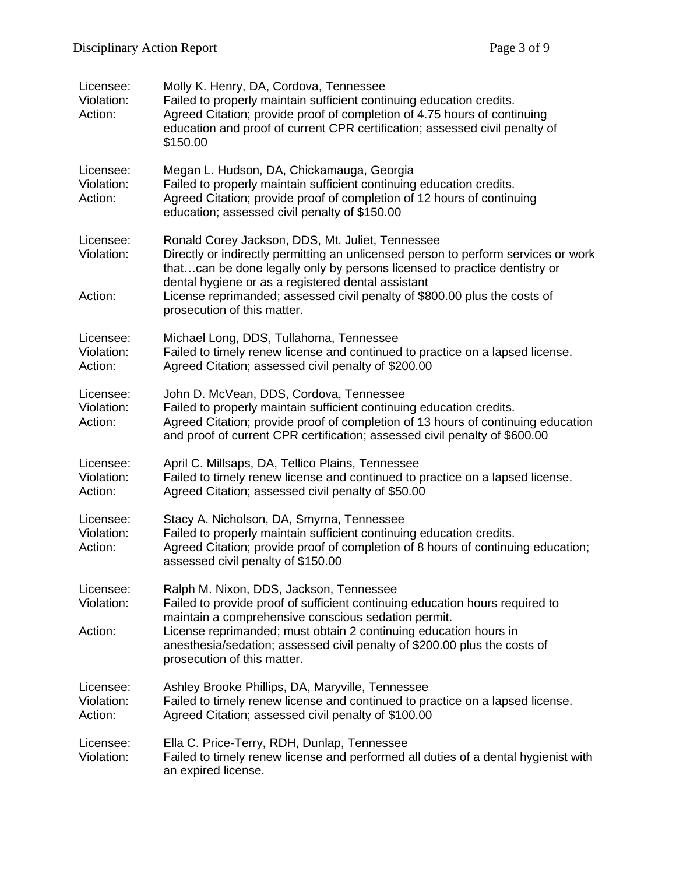| Licensee:<br>Violation:<br>Action: | Molly K. Henry, DA, Cordova, Tennessee<br>Failed to properly maintain sufficient continuing education credits.<br>Agreed Citation; provide proof of completion of 4.75 hours of continuing<br>education and proof of current CPR certification; assessed civil penalty of<br>\$150.00                                                                                                 |
|------------------------------------|---------------------------------------------------------------------------------------------------------------------------------------------------------------------------------------------------------------------------------------------------------------------------------------------------------------------------------------------------------------------------------------|
| Licensee:<br>Violation:<br>Action: | Megan L. Hudson, DA, Chickamauga, Georgia<br>Failed to properly maintain sufficient continuing education credits.<br>Agreed Citation; provide proof of completion of 12 hours of continuing<br>education; assessed civil penalty of \$150.00                                                                                                                                          |
| Licensee:<br>Violation:<br>Action: | Ronald Corey Jackson, DDS, Mt. Juliet, Tennessee<br>Directly or indirectly permitting an unlicensed person to perform services or work<br>thatcan be done legally only by persons licensed to practice dentistry or<br>dental hygiene or as a registered dental assistant<br>License reprimanded; assessed civil penalty of \$800.00 plus the costs of<br>prosecution of this matter. |
| Licensee:<br>Violation:<br>Action: | Michael Long, DDS, Tullahoma, Tennessee<br>Failed to timely renew license and continued to practice on a lapsed license.<br>Agreed Citation; assessed civil penalty of \$200.00                                                                                                                                                                                                       |
| Licensee:<br>Violation:<br>Action: | John D. McVean, DDS, Cordova, Tennessee<br>Failed to properly maintain sufficient continuing education credits.<br>Agreed Citation; provide proof of completion of 13 hours of continuing education<br>and proof of current CPR certification; assessed civil penalty of \$600.00                                                                                                     |
| Licensee:<br>Violation:<br>Action: | April C. Millsaps, DA, Tellico Plains, Tennessee<br>Failed to timely renew license and continued to practice on a lapsed license.<br>Agreed Citation; assessed civil penalty of \$50.00                                                                                                                                                                                               |
| Licensee:<br>Violation:<br>Action: | Stacy A. Nicholson, DA, Smyrna, Tennessee<br>Failed to properly maintain sufficient continuing education credits.<br>Agreed Citation; provide proof of completion of 8 hours of continuing education;<br>assessed civil penalty of \$150.00                                                                                                                                           |
| Licensee:<br>Violation:<br>Action: | Ralph M. Nixon, DDS, Jackson, Tennessee<br>Failed to provide proof of sufficient continuing education hours required to<br>maintain a comprehensive conscious sedation permit.<br>License reprimanded; must obtain 2 continuing education hours in<br>anesthesia/sedation; assessed civil penalty of \$200.00 plus the costs of<br>prosecution of this matter.                        |
| Licensee:<br>Violation:<br>Action: | Ashley Brooke Phillips, DA, Maryville, Tennessee<br>Failed to timely renew license and continued to practice on a lapsed license.<br>Agreed Citation; assessed civil penalty of \$100.00                                                                                                                                                                                              |
| Licensee:<br>Violation:            | Ella C. Price-Terry, RDH, Dunlap, Tennessee<br>Failed to timely renew license and performed all duties of a dental hygienist with<br>an expired license.                                                                                                                                                                                                                              |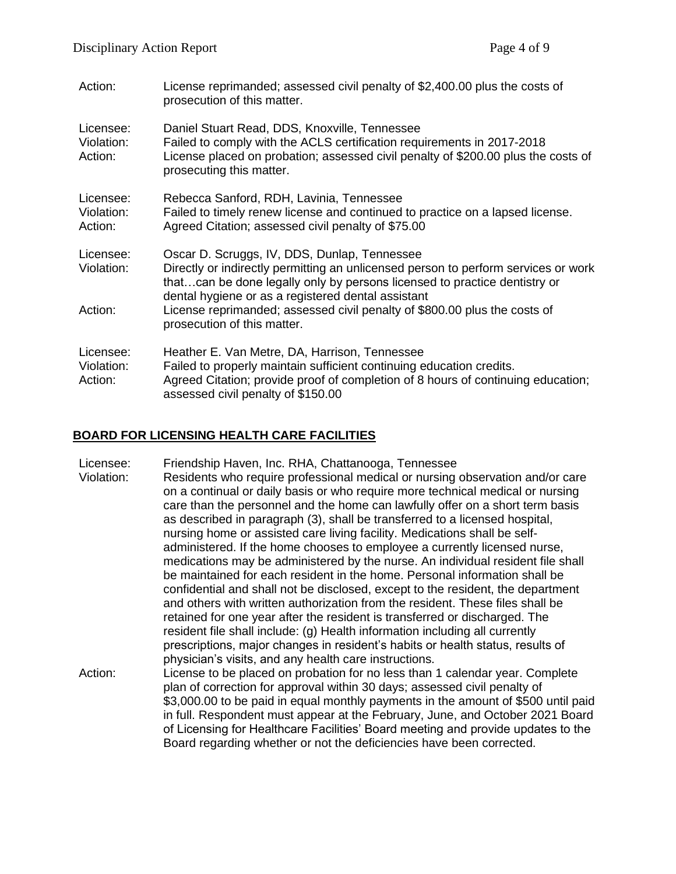| Action:                            | License reprimanded; assessed civil penalty of \$2,400.00 plus the costs of<br>prosecution of this matter.                                                                                                                                                            |
|------------------------------------|-----------------------------------------------------------------------------------------------------------------------------------------------------------------------------------------------------------------------------------------------------------------------|
| Licensee:<br>Violation:<br>Action: | Daniel Stuart Read, DDS, Knoxville, Tennessee<br>Failed to comply with the ACLS certification requirements in 2017-2018<br>License placed on probation; assessed civil penalty of \$200.00 plus the costs of<br>prosecuting this matter.                              |
| Licensee:<br>Violation:<br>Action: | Rebecca Sanford, RDH, Lavinia, Tennessee<br>Failed to timely renew license and continued to practice on a lapsed license.<br>Agreed Citation; assessed civil penalty of \$75.00                                                                                       |
| Licensee:<br>Violation:            | Oscar D. Scruggs, IV, DDS, Dunlap, Tennessee<br>Directly or indirectly permitting an unlicensed person to perform services or work<br>thatcan be done legally only by persons licensed to practice dentistry or<br>dental hygiene or as a registered dental assistant |
| Action:                            | License reprimanded; assessed civil penalty of \$800.00 plus the costs of<br>prosecution of this matter.                                                                                                                                                              |
| Licensee:<br>Violation:<br>Action: | Heather E. Van Metre, DA, Harrison, Tennessee<br>Failed to properly maintain sufficient continuing education credits.<br>Agreed Citation; provide proof of completion of 8 hours of continuing education;<br>assessed civil penalty of \$150.00                       |

# **BOARD FOR LICENSING HEALTH CARE FACILITIES**

| Licensee:  | Friendship Haven, Inc. RHA, Chattanooga, Tennessee                                |
|------------|-----------------------------------------------------------------------------------|
| Violation: | Residents who require professional medical or nursing observation and/or care     |
|            | on a continual or daily basis or who require more technical medical or nursing    |
|            | care than the personnel and the home can lawfully offer on a short term basis     |
|            | as described in paragraph (3), shall be transferred to a licensed hospital,       |
|            | nursing home or assisted care living facility. Medications shall be self-         |
|            | administered. If the home chooses to employee a currently licensed nurse,         |
|            | medications may be administered by the nurse. An individual resident file shall   |
|            | be maintained for each resident in the home. Personal information shall be        |
|            | confidential and shall not be disclosed, except to the resident, the department   |
|            | and others with written authorization from the resident. These files shall be     |
|            | retained for one year after the resident is transferred or discharged. The        |
|            | resident file shall include: (g) Health information including all currently       |
|            | prescriptions, major changes in resident's habits or health status, results of    |
|            | physician's visits, and any health care instructions.                             |
| Action:    | License to be placed on probation for no less than 1 calendar year. Complete      |
|            | plan of correction for approval within 30 days; assessed civil penalty of         |
|            | \$3,000.00 to be paid in equal monthly payments in the amount of \$500 until paid |
|            | in full. Respondent must appear at the February, June, and October 2021 Board     |
|            | of Licensing for Healthcare Facilities' Board meeting and provide updates to the  |
|            |                                                                                   |
|            | Board regarding whether or not the deficiencies have been corrected.              |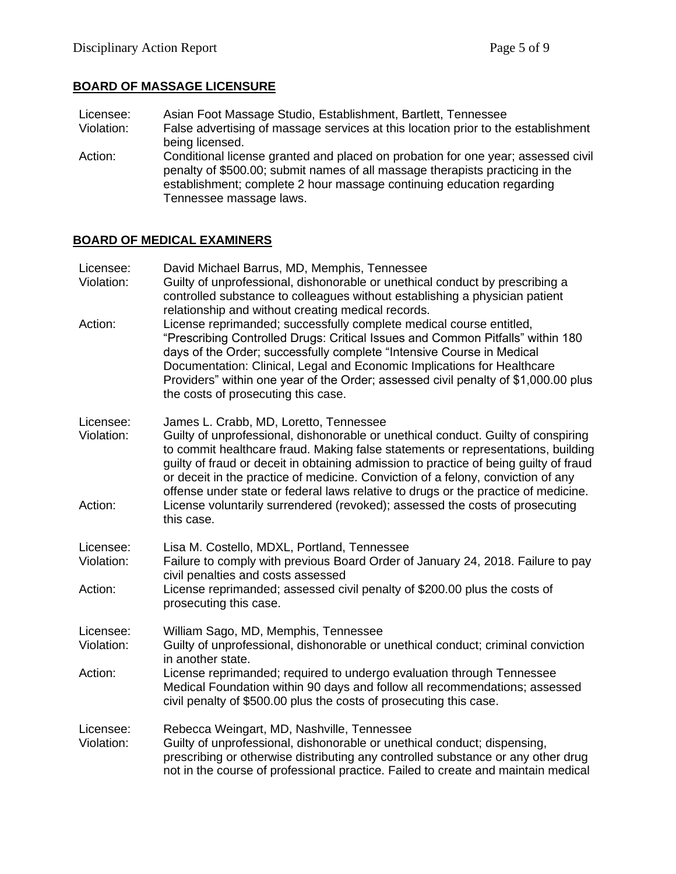# **BOARD OF MASSAGE LICENSURE**

- Licensee: Asian Foot Massage Studio, Establishment, Bartlett, Tennessee<br>Violation: False advertising of massage services at this location prior to the False advertising of massage services at this location prior to the establishment being licensed.
- Action: Conditional license granted and placed on probation for one year; assessed civil penalty of \$500.00; submit names of all massage therapists practicing in the establishment; complete 2 hour massage continuing education regarding Tennessee massage laws.

### **BOARD OF MEDICAL EXAMINERS**

| Licensee:<br>Violation: | David Michael Barrus, MD, Memphis, Tennessee<br>Guilty of unprofessional, dishonorable or unethical conduct by prescribing a<br>controlled substance to colleagues without establishing a physician patient<br>relationship and without creating medical records.                                                                                                                                                                                                                  |
|-------------------------|------------------------------------------------------------------------------------------------------------------------------------------------------------------------------------------------------------------------------------------------------------------------------------------------------------------------------------------------------------------------------------------------------------------------------------------------------------------------------------|
| Action:                 | License reprimanded; successfully complete medical course entitled,<br>"Prescribing Controlled Drugs: Critical Issues and Common Pitfalls" within 180<br>days of the Order; successfully complete "Intensive Course in Medical<br>Documentation: Clinical, Legal and Economic Implications for Healthcare<br>Providers" within one year of the Order; assessed civil penalty of \$1,000.00 plus<br>the costs of prosecuting this case.                                             |
| Licensee:<br>Violation: | James L. Crabb, MD, Loretto, Tennessee<br>Guilty of unprofessional, dishonorable or unethical conduct. Guilty of conspiring<br>to commit healthcare fraud. Making false statements or representations, building<br>guilty of fraud or deceit in obtaining admission to practice of being guilty of fraud<br>or deceit in the practice of medicine. Conviction of a felony, conviction of any<br>offense under state or federal laws relative to drugs or the practice of medicine. |
| Action:                 | License voluntarily surrendered (revoked); assessed the costs of prosecuting<br>this case.                                                                                                                                                                                                                                                                                                                                                                                         |
| Licensee:<br>Violation: | Lisa M. Costello, MDXL, Portland, Tennessee<br>Failure to comply with previous Board Order of January 24, 2018. Failure to pay<br>civil penalties and costs assessed                                                                                                                                                                                                                                                                                                               |
| Action:                 | License reprimanded; assessed civil penalty of \$200.00 plus the costs of<br>prosecuting this case.                                                                                                                                                                                                                                                                                                                                                                                |
| Licensee:<br>Violation: | William Sago, MD, Memphis, Tennessee<br>Guilty of unprofessional, dishonorable or unethical conduct; criminal conviction<br>in another state.                                                                                                                                                                                                                                                                                                                                      |
| Action:                 | License reprimanded; required to undergo evaluation through Tennessee<br>Medical Foundation within 90 days and follow all recommendations; assessed<br>civil penalty of \$500.00 plus the costs of prosecuting this case.                                                                                                                                                                                                                                                          |
| Licensee:<br>Violation: | Rebecca Weingart, MD, Nashville, Tennessee<br>Guilty of unprofessional, dishonorable or unethical conduct; dispensing,<br>prescribing or otherwise distributing any controlled substance or any other drug<br>not in the course of professional practice. Failed to create and maintain medical                                                                                                                                                                                    |
|                         |                                                                                                                                                                                                                                                                                                                                                                                                                                                                                    |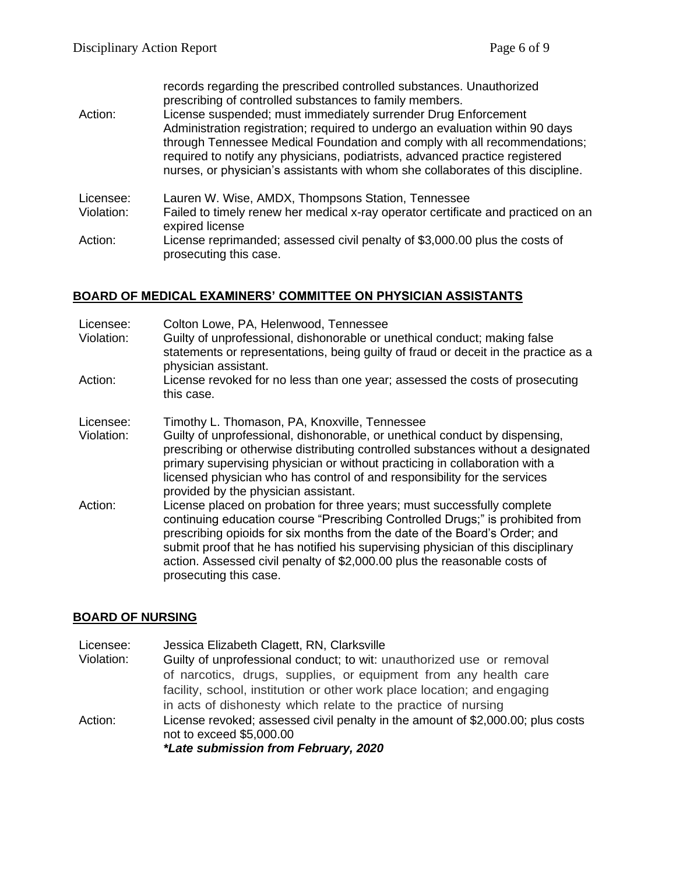|         | records regarding the prescribed controlled substances. Unauthorized        |
|---------|-----------------------------------------------------------------------------|
|         | prescribing of controlled substances to family members.                     |
| Action: | License suspended; must immediately surrender Drug Enforcement              |
|         | Administration registration: required to undergo an evaluation within 90 da |

| Administration registration; required to undergo an evaluation within 90 days    |
|----------------------------------------------------------------------------------|
| through Tennessee Medical Foundation and comply with all recommendations;        |
| required to notify any physicians, podiatrists, advanced practice registered     |
| nurses, or physician's assistants with whom she collaborates of this discipline. |

- Licensee: Lauren W. Wise, AMDX, Thompsons Station, Tennessee
- Violation: Failed to timely renew her medical x-ray operator certificate and practiced on an expired license
- Action: License reprimanded; assessed civil penalty of \$3,000.00 plus the costs of prosecuting this case.

### **BOARD OF MEDICAL EXAMINERS' COMMITTEE ON PHYSICIAN ASSISTANTS**

| Licensee:<br>Violation: | Colton Lowe, PA, Helenwood, Tennessee<br>Guilty of unprofessional, dishonorable or unethical conduct; making false<br>statements or representations, being guilty of fraud or deceit in the practice as a<br>physician assistant.                                                                                                                                                                                                  |
|-------------------------|------------------------------------------------------------------------------------------------------------------------------------------------------------------------------------------------------------------------------------------------------------------------------------------------------------------------------------------------------------------------------------------------------------------------------------|
| Action:                 | License revoked for no less than one year; assessed the costs of prosecuting<br>this case.                                                                                                                                                                                                                                                                                                                                         |
| Licensee:<br>Violation: | Timothy L. Thomason, PA, Knoxville, Tennessee<br>Guilty of unprofessional, dishonorable, or unethical conduct by dispensing,<br>prescribing or otherwise distributing controlled substances without a designated<br>primary supervising physician or without practicing in collaboration with a<br>licensed physician who has control of and responsibility for the services<br>provided by the physician assistant.               |
| Action:                 | License placed on probation for three years; must successfully complete<br>continuing education course "Prescribing Controlled Drugs;" is prohibited from<br>prescribing opioids for six months from the date of the Board's Order; and<br>submit proof that he has notified his supervising physician of this disciplinary<br>action. Assessed civil penalty of \$2,000.00 plus the reasonable costs of<br>prosecuting this case. |

#### **BOARD OF NURSING**

Licensee: Jessica Elizabeth Clagett, RN, Clarksville Violation: Guilty of unprofessional conduct; to wit: unauthorized use or removal of narcotics, drugs, supplies, or equipment from any health care facility, school, institution or other work place location; and engaging in acts of dishonesty which relate to the practice of nursing Action: License revoked; assessed civil penalty in the amount of \$2,000.00; plus costs not to exceed \$5,000.00 *\*Late submission from February, 2020*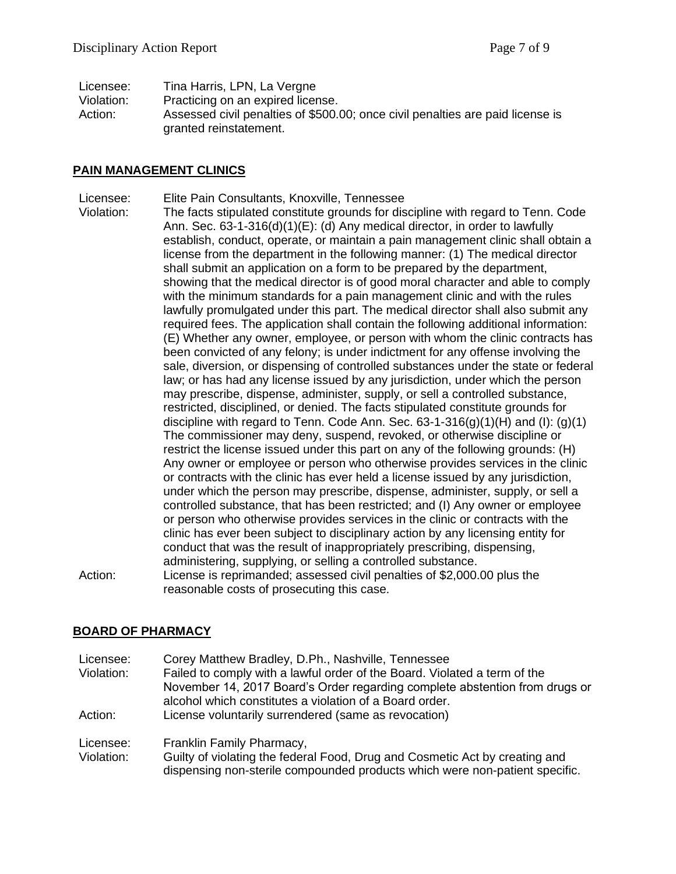| Licensee:  | Tina Harris, LPN, La Vergne                                                                              |
|------------|----------------------------------------------------------------------------------------------------------|
| Violation: | Practicing on an expired license.                                                                        |
| Action:    | Assessed civil penalties of \$500.00; once civil penalties are paid license is<br>granted reinstatement. |

#### **PAIN MANAGEMENT CLINICS**

- Licensee: Elite Pain Consultants, Knoxville, Tennessee
- Violation: The facts stipulated constitute grounds for discipline with regard to Tenn. Code Ann. Sec. 63-1-316(d)(1)(E): (d) Any medical director, in order to lawfully establish, conduct, operate, or maintain a pain management clinic shall obtain a license from the department in the following manner: (1) The medical director shall submit an application on a form to be prepared by the department, showing that the medical director is of good moral character and able to comply with the minimum standards for a pain management clinic and with the rules lawfully promulgated under this part. The medical director shall also submit any required fees. The application shall contain the following additional information: (E) Whether any owner, employee, or person with whom the clinic contracts has been convicted of any felony; is under indictment for any offense involving the sale, diversion, or dispensing of controlled substances under the state or federal law; or has had any license issued by any jurisdiction, under which the person may prescribe, dispense, administer, supply, or sell a controlled substance, restricted, disciplined, or denied. The facts stipulated constitute grounds for discipline with regard to Tenn. Code Ann. Sec.  $63-1-316(q)(1)(H)$  and (I): (g)(1) The commissioner may deny, suspend, revoked, or otherwise discipline or restrict the license issued under this part on any of the following grounds: (H) Any owner or employee or person who otherwise provides services in the clinic or contracts with the clinic has ever held a license issued by any jurisdiction, under which the person may prescribe, dispense, administer, supply, or sell a controlled substance, that has been restricted; and (I) Any owner or employee or person who otherwise provides services in the clinic or contracts with the clinic has ever been subject to disciplinary action by any licensing entity for conduct that was the result of inappropriately prescribing, dispensing, administering, supplying, or selling a controlled substance. Action: License is reprimanded; assessed civil penalties of \$2,000.00 plus the reasonable costs of prosecuting this case.

### **BOARD OF PHARMACY**

| Licensee:<br>Violation: | Corey Matthew Bradley, D.Ph., Nashville, Tennessee<br>Failed to comply with a lawful order of the Board. Violated a term of the<br>November 14, 2017 Board's Order regarding complete abstention from drugs or<br>alcohol which constitutes a violation of a Board order. |
|-------------------------|---------------------------------------------------------------------------------------------------------------------------------------------------------------------------------------------------------------------------------------------------------------------------|
| Action:                 | License voluntarily surrendered (same as revocation)                                                                                                                                                                                                                      |
| Licensee:<br>Violation: | Franklin Family Pharmacy,<br>Guilty of violating the federal Food, Drug and Cosmetic Act by creating and<br>dispensing non-sterile compounded products which were non-patient specific.                                                                                   |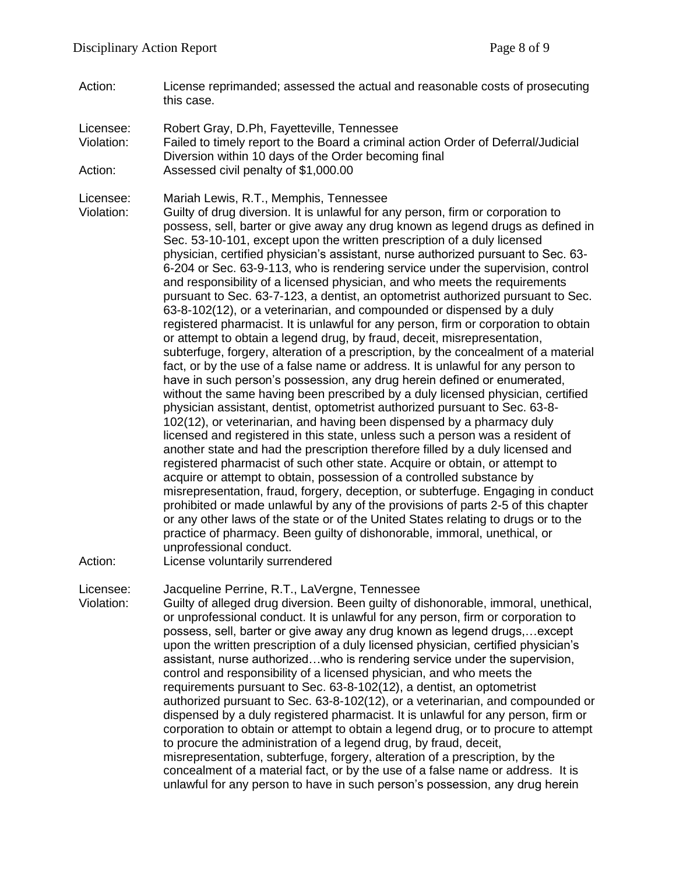Action: License reprimanded; assessed the actual and reasonable costs of prosecuting this case.

Licensee: Robert Gray, D.Ph, Fayetteville, Tennessee Violation: Failed to timely report to the Board a criminal action Order of Deferral/Judicial Diversion within 10 days of the Order becoming final Action: Assessed civil penalty of \$1,000.00

Licensee: Mariah Lewis, R.T., Memphis, Tennessee

Violation: Guilty of drug diversion. It is unlawful for any person, firm or corporation to possess, sell, barter or give away any drug known as legend drugs as defined in Sec. 53-10-101, except upon the written prescription of a duly licensed physician, certified physician's assistant, nurse authorized pursuant to Sec. 63- 6-204 or Sec. 63-9-113, who is rendering service under the supervision, control and responsibility of a licensed physician, and who meets the requirements pursuant to Sec. 63-7-123, a dentist, an optometrist authorized pursuant to Sec. 63-8-102(12), or a veterinarian, and compounded or dispensed by a duly registered pharmacist. It is unlawful for any person, firm or corporation to obtain or attempt to obtain a legend drug, by fraud, deceit, misrepresentation, subterfuge, forgery, alteration of a prescription, by the concealment of a material fact, or by the use of a false name or address. It is unlawful for any person to have in such person's possession, any drug herein defined or enumerated, without the same having been prescribed by a duly licensed physician, certified physician assistant, dentist, optometrist authorized pursuant to Sec. 63-8- 102(12), or veterinarian, and having been dispensed by a pharmacy duly licensed and registered in this state, unless such a person was a resident of another state and had the prescription therefore filled by a duly licensed and registered pharmacist of such other state. Acquire or obtain, or attempt to acquire or attempt to obtain, possession of a controlled substance by misrepresentation, fraud, forgery, deception, or subterfuge. Engaging in conduct prohibited or made unlawful by any of the provisions of parts 2-5 of this chapter or any other laws of the state or of the United States relating to drugs or to the practice of pharmacy. Been guilty of dishonorable, immoral, unethical, or unprofessional conduct.

Action: License voluntarily surrendered

Licensee: Jacqueline Perrine, R.T., LaVergne, Tennessee

Violation: Guilty of alleged drug diversion. Been guilty of dishonorable, immoral, unethical, or unprofessional conduct. It is unlawful for any person, firm or corporation to possess, sell, barter or give away any drug known as legend drugs,…except upon the written prescription of a duly licensed physician, certified physician's assistant, nurse authorized…who is rendering service under the supervision, control and responsibility of a licensed physician, and who meets the requirements pursuant to Sec. 63-8-102(12), a dentist, an optometrist authorized pursuant to Sec. 63-8-102(12), or a veterinarian, and compounded or dispensed by a duly registered pharmacist. It is unlawful for any person, firm or corporation to obtain or attempt to obtain a legend drug, or to procure to attempt to procure the administration of a legend drug, by fraud, deceit, misrepresentation, subterfuge, forgery, alteration of a prescription, by the concealment of a material fact, or by the use of a false name or address. It is unlawful for any person to have in such person's possession, any drug herein